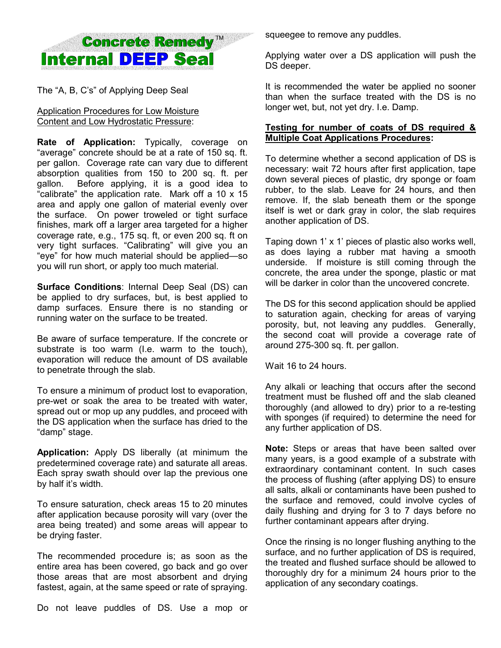# **Concrete Remedy™ Internal DEEP Seal**

The "A, B, C's" of Applying Deep Seal

## Application Procedures for Low Moisture Content and Low Hydrostatic Pressure:

**Rate of Application:** Typically, coverage on "average" concrete should be at a rate of 150 sq. ft. per gallon. Coverage rate can vary due to different absorption qualities from 150 to 200 sq. ft. per gallon. Before applying, it is a good idea to "calibrate" the application rate. Mark off a 10 x 15 area and apply one gallon of material evenly over the surface. On power troweled or tight surface finishes, mark off a larger area targeted for a higher coverage rate, e.g., 175 sq. ft, or even 200 sq. ft on very tight surfaces. "Calibrating" will give you an "eye" for how much material should be applied—so you will run short, or apply too much material.

**Surface Conditions**: Internal Deep Seal (DS) can be applied to dry surfaces, but, is best applied to damp surfaces. Ensure there is no standing or running water on the surface to be treated.

Be aware of surface temperature. If the concrete or substrate is too warm (I.e. warm to the touch), evaporation will reduce the amount of DS available to penetrate through the slab.

To ensure a minimum of product lost to evaporation, pre-wet or soak the area to be treated with water, spread out or mop up any puddles, and proceed with the DS application when the surface has dried to the "damp" stage.

**Application:** Apply DS liberally (at minimum the predetermined coverage rate) and saturate all areas. Each spray swath should over lap the previous one by half it's width.

To ensure saturation, check areas 15 to 20 minutes after application because porosity will vary (over the area being treated) and some areas will appear to be drying faster.

The recommended procedure is; as soon as the entire area has been covered, go back and go over those areas that are most absorbent and drying fastest, again, at the same speed or rate of spraying.

Do not leave puddles of DS. Use a mop or

squeegee to remove any puddles.

Applying water over a DS application will push the DS deeper.

It is recommended the water be applied no sooner than when the surface treated with the DS is no longer wet, but, not yet dry. I.e. Damp.

### **Testing for number of coats of DS required & Multiple Coat Applications Procedures:**

To determine whether a second application of DS is necessary: wait 72 hours after first application, tape down several pieces of plastic, dry sponge or foam rubber, to the slab. Leave for 24 hours, and then remove. If, the slab beneath them or the sponge itself is wet or dark gray in color, the slab requires another application of DS.

Taping down 1' x 1' pieces of plastic also works well, as does laying a rubber mat having a smooth underside. If moisture is still coming through the concrete, the area under the sponge, plastic or mat will be darker in color than the uncovered concrete.

The DS for this second application should be applied to saturation again, checking for areas of varying porosity, but, not leaving any puddles. Generally, the second coat will provide a coverage rate of around 275-300 sq. ft. per gallon.

Wait 16 to 24 hours.

Any alkali or leaching that occurs after the second treatment must be flushed off and the slab cleaned thoroughly (and allowed to dry) prior to a re-testing with sponges (if required) to determine the need for any further application of DS.

**Note:** Steps or areas that have been salted over many years, is a good example of a substrate with extraordinary contaminant content. In such cases the process of flushing (after applying DS) to ensure all salts, alkali or contaminants have been pushed to the surface and removed, could involve cycles of daily flushing and drying for 3 to 7 days before no further contaminant appears after drying.

Once the rinsing is no longer flushing anything to the surface, and no further application of DS is required, the treated and flushed surface should be allowed to thoroughly dry for a minimum 24 hours prior to the application of any secondary coatings.